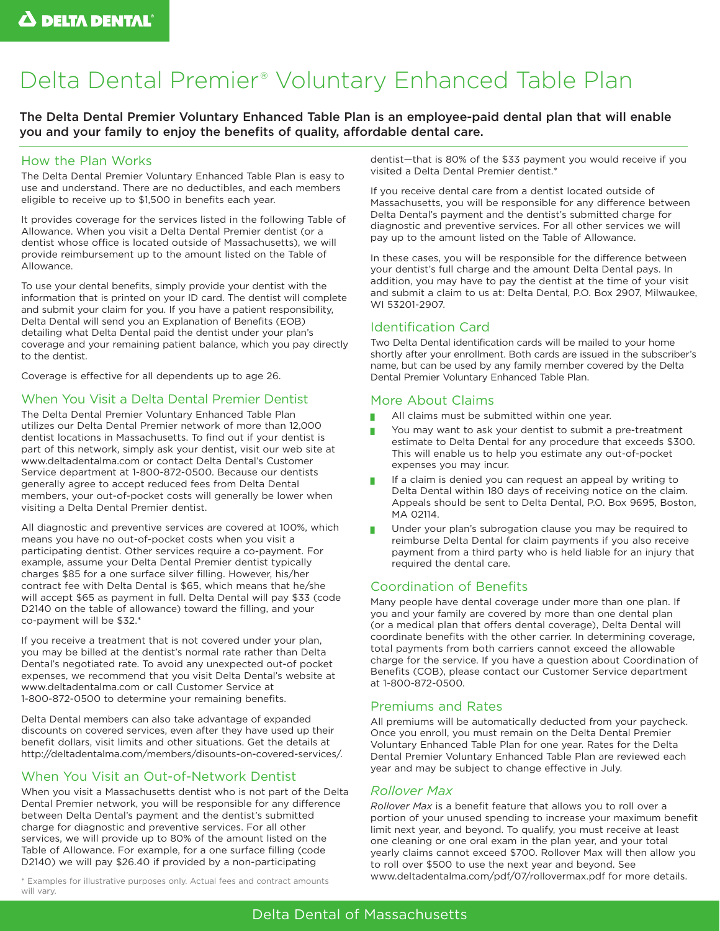# Delta Dental Premier® Voluntary Enhanced Table Plan

The Delta Dental Premier Voluntary Enhanced Table Plan is an employee-paid dental plan that will enable you and your family to enjoy the benefits of quality, affordable dental care.

# How the Plan Works

The Delta Dental Premier Voluntary Enhanced Table Plan is easy to use and understand. There are no deductibles, and each members eligible to receive up to \$1,500 in benefits each year.

It provides coverage for the services listed in the following Table of Allowance. When you visit a Delta Dental Premier dentist (or a dentist whose office is located outside of Massachusetts), we will provide reimbursement up to the amount listed on the Table of Allowance.

To use your dental benefits, simply provide your dentist with the information that is printed on your ID card. The dentist will complete and submit your claim for you. If you have a patient responsibility, Delta Dental will send you an Explanation of Benefits (EOB) detailing what Delta Dental paid the dentist under your plan's coverage and your remaining patient balance, which you pay directly to the dentist.

Coverage is effective for all dependents up to age 26.

# When You Visit a Delta Dental Premier Dentist

The Delta Dental Premier Voluntary Enhanced Table Plan utilizes our Delta Dental Premier network of more than 12,000 dentist locations in Massachusetts. To find out if your dentist is part of this network, simply ask your dentist, visit our web site at www.deltadentalma.com or contact Delta Dental's Customer Service department at 1-800-872-0500. Because our dentists generally agree to accept reduced fees from Delta Dental members, your out-of-pocket costs will generally be lower when visiting a Delta Dental Premier dentist.

All diagnostic and preventive services are covered at 100%, which means you have no out-of-pocket costs when you visit a participating dentist. Other services require a co-payment. For example, assume your Delta Dental Premier dentist typically charges \$85 for a one surface silver filling. However, his/her contract fee with Delta Dental is \$65, which means that he/she will accept \$65 as payment in full. Delta Dental will pay \$33 (code D2140 on the table of allowance) toward the filling, and your co-payment will be \$32.\*

If you receive a treatment that is not covered under your plan, you may be billed at the dentist's normal rate rather than Delta Dental's negotiated rate. To avoid any unexpected out-of pocket expenses, we recommend that you visit Delta Dental's website at www.deltadentalma.com or call Customer Service at 1-800-872-0500 to determine your remaining benefits.

Delta Dental members can also take advantage of expanded discounts on covered services, even after they have used up their benefit dollars, visit limits and other situations. Get the details at http://deltadentalma.com/members/disounts-on-covered-services/.

# When You Visit an Out-of-Network Dentist

When you visit a Massachusetts dentist who is not part of the Delta Dental Premier network, you will be responsible for any difference between Delta Dental's payment and the dentist's submitted charge for diagnostic and preventive services. For all other services, we will provide up to 80% of the amount listed on the Table of Allowance. For example, for a one surface filling (code D2140) we will pay \$26.40 if provided by a non-participating

will vary.

dentist—that is 80% of the \$33 payment you would receive if you visited a Delta Dental Premier dentist.\*

If you receive dental care from a dentist located outside of Massachusetts, you will be responsible for any difference between Delta Dental's payment and the dentist's submitted charge for diagnostic and preventive services. For all other services we will pay up to the amount listed on the Table of Allowance.

In these cases, you will be responsible for the difference between your dentist's full charge and the amount Delta Dental pays. In addition, you may have to pay the dentist at the time of your visit and submit a claim to us at: Delta Dental, P.O. Box 2907, Milwaukee, WI 53201-2907.

# Identification Card

Two Delta Dental identification cards will be mailed to your home shortly after your enrollment. Both cards are issued in the subscriber's name, but can be used by any family member covered by the Delta Dental Premier Voluntary Enhanced Table Plan.

# More About Claims

- All claims must be submitted within one year.
- You may want to ask your dentist to submit a pre-treatment estimate to Delta Dental for any procedure that exceeds \$300. This will enable us to help you estimate any out-of-pocket expenses you may incur.
- If a claim is denied you can request an appeal by writing to Delta Dental within 180 days of receiving notice on the claim. Appeals should be sent to Delta Dental, P.O. Box 9695, Boston, MA 02114
- Under your plan's subrogation clause you may be required to reimburse Delta Dental for claim payments if you also receive payment from a third party who is held liable for an injury that required the dental care.

# Coordination of Benefits

Many people have dental coverage under more than one plan. If you and your family are covered by more than one dental plan (or a medical plan that offers dental coverage), Delta Dental will coordinate benefits with the other carrier. In determining coverage, total payments from both carriers cannot exceed the allowable charge for the service. If you have a question about Coordination of Benefits (COB), please contact our Customer Service department at 1-800-872-0500.

# Premiums and Rates

All premiums will be automatically deducted from your paycheck. Once you enroll, you must remain on the Delta Dental Premier Voluntary Enhanced Table Plan for one year. Rates for the Delta Dental Premier Voluntary Enhanced Table Plan are reviewed each year and may be subject to change effective in July.

# *Rollover Max*

*Rollover Max* is a benefit feature that allows you to roll over a portion of your unused spending to increase your maximum benefit limit next year, and beyond. To qualify, you must receive at least one cleaning or one oral exam in the plan year, and your total yearly claims cannot exceed \$700. Rollover Max will then allow you to roll over \$500 to use the next year and beyond. See \* Examples for illustrative purposes only. Actual fees and contract amounts www.deltadentalma.com/pdf/07/rollovermax.pdf for more details.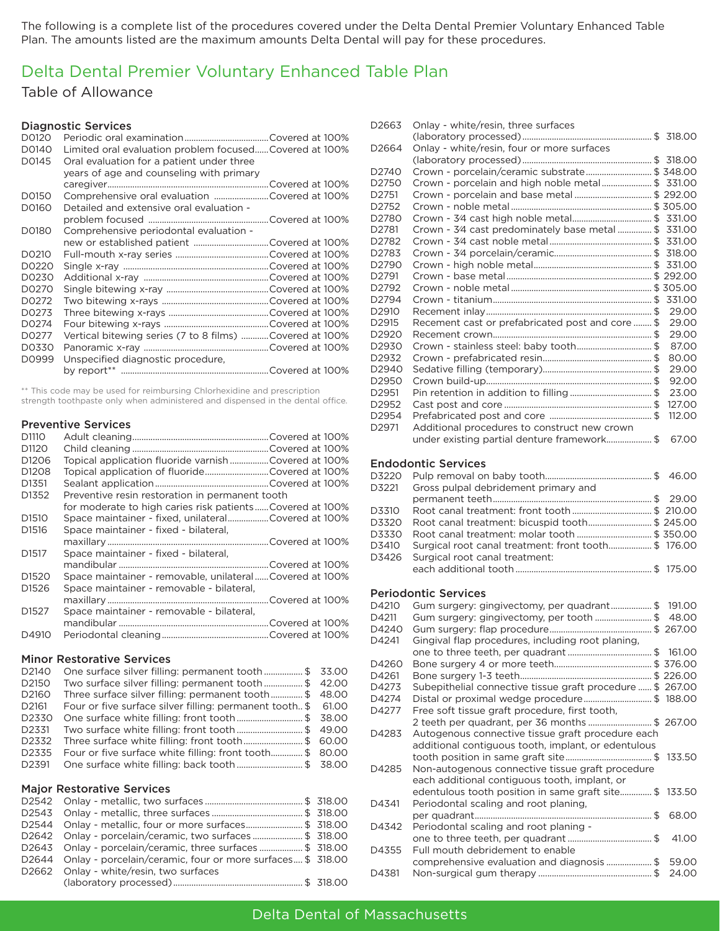The following is a complete list of the procedures covered under the Delta Dental Premier Voluntary Enhanced Table Plan. The amounts listed are the maximum amounts Delta Dental will pay for these procedures.

# Delta Dental Premier Voluntary Enhanced Table Plan

### Table of Allowance

### Diagnostic Services

| D0120 |                                                         |
|-------|---------------------------------------------------------|
| D0140 | Limited oral evaluation problem focusedCovered at 100%  |
| D0145 | Oral evaluation for a patient under three               |
|       | years of age and counseling with primary                |
|       |                                                         |
| D0150 | Comprehensive oral evaluation Covered at 100%           |
| D0160 | Detailed and extensive oral evaluation -                |
|       |                                                         |
| D0180 | Comprehensive periodontal evaluation -                  |
|       |                                                         |
| D0210 |                                                         |
| D0220 |                                                         |
| D0230 |                                                         |
| D0270 |                                                         |
| D0272 |                                                         |
| D0273 |                                                         |
| D0274 |                                                         |
| D0277 | Vertical bitewing series (7 to 8 films) Covered at 100% |
| D0330 |                                                         |
| D0999 | Unspecified diagnostic procedure,                       |
|       |                                                         |

\*\* This code may be used for reimbursing Chlorhexidine and prescription strength toothpaste only when administered and dispensed in the dental office.

#### Preventive Services

| D1110             |                                                          |  |
|-------------------|----------------------------------------------------------|--|
| D <sub>1120</sub> |                                                          |  |
| D <sub>1206</sub> | Topical application fluoride varnish Covered at 100%     |  |
| D <sub>1208</sub> | Topical application of fluorideCovered at 100%           |  |
| D <sub>1351</sub> |                                                          |  |
| D <sub>1352</sub> | Preventive resin restoration in permanent tooth          |  |
|                   | for moderate to high caries risk patientsCovered at 100% |  |
| D <sub>1510</sub> | Space maintainer - fixed, unilateralCovered at 100%      |  |
| D <sub>1516</sub> | Space maintainer - fixed - bilateral,                    |  |
|                   |                                                          |  |
| D <sub>1517</sub> | Space maintainer - fixed - bilateral,                    |  |
|                   |                                                          |  |
| D <sub>1520</sub> | Space maintainer - removable, unilateralCovered at 100%  |  |
| D <sub>1526</sub> | Space maintainer - removable - bilateral,                |  |
|                   |                                                          |  |
| D <sub>1527</sub> | Space maintainer - removable - bilateral,                |  |
|                   |                                                          |  |
| D4910             |                                                          |  |
|                   |                                                          |  |

### Minor Restorative Services

| D2140 | One surface silver filling: permanent tooth\$ 33.00           |  |
|-------|---------------------------------------------------------------|--|
| D2150 | Two surface silver filling: permanent tooth \$ 42.00          |  |
| D2160 | Three surface silver filling: permanent tooth\$ 48.00         |  |
| D2161 | Four or five surface silver filling: permanent tooth \$ 61.00 |  |
| D2330 | One surface white filling: front tooth\$ 38.00                |  |
| D2331 | Two surface white filling: front tooth\$ 49.00                |  |
| D2332 | Three surface white filling: front tooth\$ 60.00              |  |
| D2335 | Four or five surface white filling: front tooth\$ 80.00       |  |
| D2391 | One surface white filling: back tooth  \$ 38.00               |  |

#### Major Restorative Services

| D2544 Onlay - metallic, four or more surfaces\$ 318.00          |  |
|-----------------------------------------------------------------|--|
| D2642 Onlay - porcelain/ceramic, two surfaces \$ 318.00         |  |
| D2643 Onlay - porcelain/ceramic, three surfaces \$ 318.00       |  |
| D2644 Onlay - porcelain/ceramic, four or more surfaces \$318.00 |  |
| D2662 Onlay - white/resin, two surfaces                         |  |
|                                                                 |  |

| Onlay - white/resin, four or more surfaces<br>D2664<br>Crown - porcelain/ceramic substrate \$ 348.00<br>D2740<br>Crown - porcelain and high noble metal\$ 331.00<br>D2750<br>D2751<br>D2752<br>D <sub>2780</sub><br>Crown - 3⁄4 cast predominately base metal  \$ 331.00<br>D2781<br>D2782<br>D2783<br>D2790<br>D <sub>2791</sub><br>D2792<br>331.00<br>D2794<br>29.00<br>D <sub>2910</sub><br>Recement cast or prefabricated post and core  \$<br>29.00<br>D2915<br>29.00<br>D2920<br>Crown - stainless steel: baby tooth\$<br>87.00<br>D2930<br>80.00<br>D2932<br>D2940<br>29.00<br>92.00<br>D <sub>2950</sub><br>23.00<br>D2951<br>127.00<br>D2952<br>112.00<br>D2954<br>D <sub>2971</sub><br>Additional procedures to construct new crown<br>under existing partial denture framework\$<br>67.00<br><b>Endodontic Services</b><br>D3220<br>46.00<br>Gross pulpal debridement primary and<br>D3221<br>29.00<br>D3310 | D2663 | Onlay - white/resin, three surfaces |  |  |
|-------------------------------------------------------------------------------------------------------------------------------------------------------------------------------------------------------------------------------------------------------------------------------------------------------------------------------------------------------------------------------------------------------------------------------------------------------------------------------------------------------------------------------------------------------------------------------------------------------------------------------------------------------------------------------------------------------------------------------------------------------------------------------------------------------------------------------------------------------------------------------------------------------------------------|-------|-------------------------------------|--|--|
|                                                                                                                                                                                                                                                                                                                                                                                                                                                                                                                                                                                                                                                                                                                                                                                                                                                                                                                         |       |                                     |  |  |
|                                                                                                                                                                                                                                                                                                                                                                                                                                                                                                                                                                                                                                                                                                                                                                                                                                                                                                                         |       |                                     |  |  |
|                                                                                                                                                                                                                                                                                                                                                                                                                                                                                                                                                                                                                                                                                                                                                                                                                                                                                                                         |       |                                     |  |  |
|                                                                                                                                                                                                                                                                                                                                                                                                                                                                                                                                                                                                                                                                                                                                                                                                                                                                                                                         |       |                                     |  |  |
|                                                                                                                                                                                                                                                                                                                                                                                                                                                                                                                                                                                                                                                                                                                                                                                                                                                                                                                         |       |                                     |  |  |
|                                                                                                                                                                                                                                                                                                                                                                                                                                                                                                                                                                                                                                                                                                                                                                                                                                                                                                                         |       |                                     |  |  |
|                                                                                                                                                                                                                                                                                                                                                                                                                                                                                                                                                                                                                                                                                                                                                                                                                                                                                                                         |       |                                     |  |  |
|                                                                                                                                                                                                                                                                                                                                                                                                                                                                                                                                                                                                                                                                                                                                                                                                                                                                                                                         |       |                                     |  |  |
|                                                                                                                                                                                                                                                                                                                                                                                                                                                                                                                                                                                                                                                                                                                                                                                                                                                                                                                         |       |                                     |  |  |
|                                                                                                                                                                                                                                                                                                                                                                                                                                                                                                                                                                                                                                                                                                                                                                                                                                                                                                                         |       |                                     |  |  |
|                                                                                                                                                                                                                                                                                                                                                                                                                                                                                                                                                                                                                                                                                                                                                                                                                                                                                                                         |       |                                     |  |  |
|                                                                                                                                                                                                                                                                                                                                                                                                                                                                                                                                                                                                                                                                                                                                                                                                                                                                                                                         |       |                                     |  |  |
|                                                                                                                                                                                                                                                                                                                                                                                                                                                                                                                                                                                                                                                                                                                                                                                                                                                                                                                         |       |                                     |  |  |
|                                                                                                                                                                                                                                                                                                                                                                                                                                                                                                                                                                                                                                                                                                                                                                                                                                                                                                                         |       |                                     |  |  |
|                                                                                                                                                                                                                                                                                                                                                                                                                                                                                                                                                                                                                                                                                                                                                                                                                                                                                                                         |       |                                     |  |  |
|                                                                                                                                                                                                                                                                                                                                                                                                                                                                                                                                                                                                                                                                                                                                                                                                                                                                                                                         |       |                                     |  |  |
|                                                                                                                                                                                                                                                                                                                                                                                                                                                                                                                                                                                                                                                                                                                                                                                                                                                                                                                         |       |                                     |  |  |
|                                                                                                                                                                                                                                                                                                                                                                                                                                                                                                                                                                                                                                                                                                                                                                                                                                                                                                                         |       |                                     |  |  |
|                                                                                                                                                                                                                                                                                                                                                                                                                                                                                                                                                                                                                                                                                                                                                                                                                                                                                                                         |       |                                     |  |  |
|                                                                                                                                                                                                                                                                                                                                                                                                                                                                                                                                                                                                                                                                                                                                                                                                                                                                                                                         |       |                                     |  |  |
|                                                                                                                                                                                                                                                                                                                                                                                                                                                                                                                                                                                                                                                                                                                                                                                                                                                                                                                         |       |                                     |  |  |
|                                                                                                                                                                                                                                                                                                                                                                                                                                                                                                                                                                                                                                                                                                                                                                                                                                                                                                                         |       |                                     |  |  |
|                                                                                                                                                                                                                                                                                                                                                                                                                                                                                                                                                                                                                                                                                                                                                                                                                                                                                                                         |       |                                     |  |  |
|                                                                                                                                                                                                                                                                                                                                                                                                                                                                                                                                                                                                                                                                                                                                                                                                                                                                                                                         |       |                                     |  |  |
|                                                                                                                                                                                                                                                                                                                                                                                                                                                                                                                                                                                                                                                                                                                                                                                                                                                                                                                         |       |                                     |  |  |
|                                                                                                                                                                                                                                                                                                                                                                                                                                                                                                                                                                                                                                                                                                                                                                                                                                                                                                                         |       |                                     |  |  |
|                                                                                                                                                                                                                                                                                                                                                                                                                                                                                                                                                                                                                                                                                                                                                                                                                                                                                                                         |       |                                     |  |  |
|                                                                                                                                                                                                                                                                                                                                                                                                                                                                                                                                                                                                                                                                                                                                                                                                                                                                                                                         |       |                                     |  |  |
|                                                                                                                                                                                                                                                                                                                                                                                                                                                                                                                                                                                                                                                                                                                                                                                                                                                                                                                         |       |                                     |  |  |
|                                                                                                                                                                                                                                                                                                                                                                                                                                                                                                                                                                                                                                                                                                                                                                                                                                                                                                                         |       |                                     |  |  |
|                                                                                                                                                                                                                                                                                                                                                                                                                                                                                                                                                                                                                                                                                                                                                                                                                                                                                                                         |       |                                     |  |  |
|                                                                                                                                                                                                                                                                                                                                                                                                                                                                                                                                                                                                                                                                                                                                                                                                                                                                                                                         |       |                                     |  |  |
| Root canal treatment: bicuspid tooth \$ 245.00<br>D3320                                                                                                                                                                                                                                                                                                                                                                                                                                                                                                                                                                                                                                                                                                                                                                                                                                                                 |       |                                     |  |  |

D3410 Surgical root canal treatment: front tooth................... \$ 176.00 D3426 Surgical root canal treatment: each additional tooth............................................................ \$ 175.00

D3330 Root canal treatment: molar tooth ................................. \$ 350.00

#### Periodontic Services

| D4210 | Gum surgery: gingivectomy, per quadrant\$ 191.00          |       |
|-------|-----------------------------------------------------------|-------|
| D4211 | Gum surgery: gingivectomy, per tooth \$ 48.00             |       |
| D4240 |                                                           |       |
| D4241 | Gingival flap procedures, including root planing,         |       |
|       |                                                           |       |
| D4260 |                                                           |       |
| D4261 |                                                           |       |
| D4273 | Subepithelial connective tissue graft procedure  \$267.00 |       |
| D4274 | Distal or proximal wedge procedure\$ 188.00               |       |
| D4277 | Free soft tissue graft procedure, first tooth,            |       |
|       | 2 teeth per quadrant, per 36 months \$ 267.00             |       |
| D4283 | Autogenous connective tissue graft procedure each         |       |
|       | additional contiguous tooth, implant, or edentulous       |       |
|       |                                                           |       |
| D4285 | Non-autogenous connective tissue graft procedure          |       |
|       | each additional contiguous tooth, implant, or             |       |
|       | edentulous tooth position in same graft site\$ 133.50     |       |
| D4341 | Periodontal scaling and root planing,                     |       |
|       |                                                           | 68.00 |
| D4342 | Periodontal scaling and root planing -                    |       |
|       |                                                           | 41.00 |
| D4355 | Full mouth debridement to enable                          |       |
|       | comprehensive evaluation and diagnosis \$ 59.00           |       |
| D4381 |                                                           | 24.00 |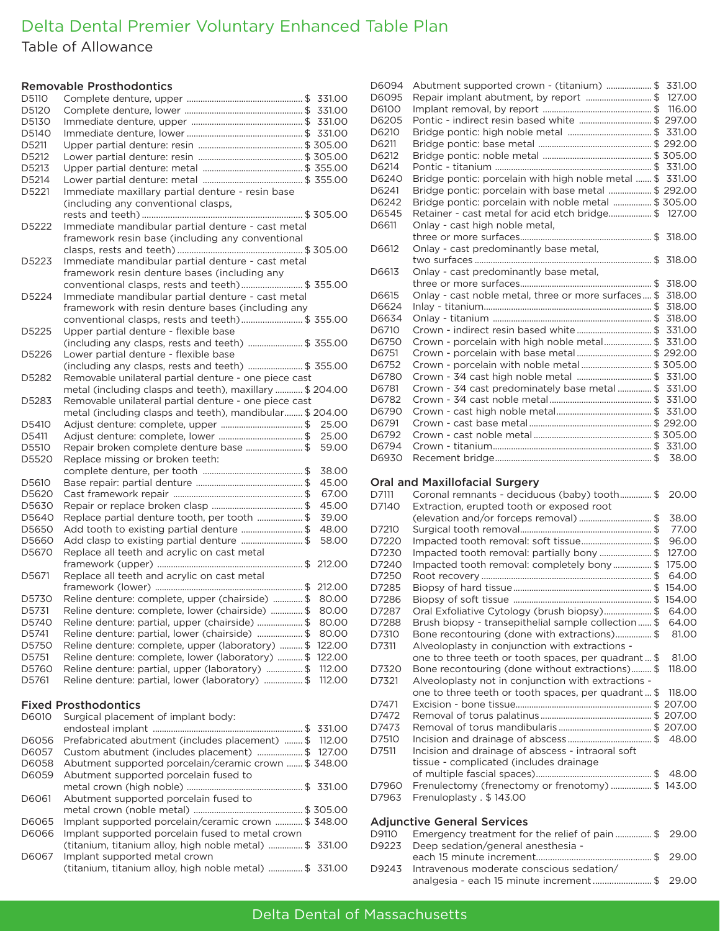# Delta Dental Premier Voluntary Enhanced Table Plan

Table of Allowance

### Removable Prosthodontics

| D5110 |                                                         |        |  |
|-------|---------------------------------------------------------|--------|--|
| D5120 |                                                         |        |  |
| D5130 |                                                         |        |  |
| D5140 |                                                         |        |  |
| D5211 |                                                         |        |  |
| D5212 |                                                         |        |  |
| D5213 |                                                         |        |  |
| D5214 |                                                         |        |  |
| D5221 | Immediate maxillary partial denture - resin base        |        |  |
|       | (including any conventional clasps,                     |        |  |
|       |                                                         |        |  |
| D5222 | Immediate mandibular partial denture - cast metal       |        |  |
|       | framework resin base (including any conventional        |        |  |
|       |                                                         |        |  |
| D5223 | Immediate mandibular partial denture - cast metal       |        |  |
|       | framework resin denture bases (including any            |        |  |
|       | conventional clasps, rests and teeth) \$ 355.00         |        |  |
| D5224 | Immediate mandibular partial denture - cast metal       |        |  |
|       | framework with resin denture bases (including any       |        |  |
|       | conventional clasps, rests and teeth) \$ 355.00         |        |  |
| D5225 | Upper partial denture - flexible base                   |        |  |
|       | (including any clasps, rests and teeth)  \$ 355.00      |        |  |
| D5226 | Lower partial denture - flexible base                   |        |  |
|       | (including any clasps, rests and teeth)  \$ 355.00      |        |  |
| D5282 | Removable unilateral partial denture - one piece cast   |        |  |
|       | metal (including clasps and teeth), maxillary  \$204.00 |        |  |
| D5283 | Removable unilateral partial denture - one piece cast   |        |  |
|       |                                                         |        |  |
|       | metal (including clasps and teeth), mandibular \$204.00 |        |  |
| D5410 | Adjust denture: complete, upper \$                      | 25.00  |  |
| D5411 | Adjust denture: complete, lower \$                      | 25.00  |  |
| D5510 | Repair broken complete denture base \$                  | 59.00  |  |
| D5520 | Replace missing or broken teeth:                        |        |  |
|       |                                                         | 38.00  |  |
| D5610 |                                                         | 45.00  |  |
| D5620 |                                                         | 67.00  |  |
| D5630 |                                                         | 45.00  |  |
| D5640 | Replace partial denture tooth, per tooth \$             | 39.00  |  |
| D5650 | Add tooth to existing partial denture \$                | 48.00  |  |
| D5660 | Add clasp to existing partial denture \$                | 58.00  |  |
| D5670 | Replace all teeth and acrylic on cast metal             |        |  |
|       |                                                         | 212.00 |  |
| D5671 | Replace all teeth and acrylic on cast metal             |        |  |
|       |                                                         | 212.00 |  |
| D5730 | Reline denture: complete, upper (chairside) \$          | 80.00  |  |
| D5731 | Reline denture: complete, lower (chairside) \$          | 80.00  |  |
| D5740 | Reline denture: partial, upper (chairside) \$           | 80.00  |  |
| D5741 | Reline denture: partial, lower (chairside) \$           | 80.00  |  |
| D5750 | Reline denture: complete, upper (laboratory) \$         | 122.00 |  |
| D5751 | Reline denture: complete, lower (laboratory)  \$        | 122.00 |  |
| D5760 | Reline denture: partial, upper (laboratory)  \$         | 112.00 |  |
| D5761 | Reline denture: partial, lower (laboratory) \$          | 112.00 |  |
|       |                                                         |        |  |
|       | <b>Fixed Prosthodontics</b>                             |        |  |
| D6010 | Surgical placement of implant body:                     |        |  |
|       |                                                         | 331.00 |  |
| D6056 | Prefabricated abutment (includes placement)  \$         | 112.00 |  |
| D6057 | Custom abutment (includes placement) \$                 | 127.00 |  |
| D6058 | Abutment supported porcelain/ceramic crown  \$ 348.00   |        |  |
| D6059 | Abutment supported porcelain fused to                   |        |  |

metal crown (high noble) ................................................... \$ 331.00

metal crown (noble metal) ................................................ \$ 305.00 D6065 Implant supported porcelain/ceramic crown ............ \$ 348.00

(titanium, titanium alloy, high noble metal) ............... \$ 331.00

(titanium, titanium alloy, high noble metal) ............... \$ 331.00

D6061 Abutment supported porcelain fused to

D6067 Implant supported metal crown

D6066 Implant supported porcelain fused to metal crown

| D6094 | Abutment supported crown - (titanium) \$ 331.00            |       |
|-------|------------------------------------------------------------|-------|
| D6095 | Repair implant abutment, by report \$ 127.00               |       |
| D6100 |                                                            |       |
| D6205 | Pontic - indirect resin based white  \$ 297.00             |       |
| D6210 |                                                            |       |
| D6211 |                                                            |       |
| D6212 |                                                            |       |
| D6214 |                                                            |       |
| D6240 | Bridge pontic: porcelain with high noble metal  \$ 331.00  |       |
| D6241 | Bridge pontic: porcelain with base metal \$ 292.00         |       |
| D6242 | Bridge pontic: porcelain with noble metal \$ 305.00        |       |
| D6545 | Retainer - cast metal for acid etch bridge\$ 127.00        |       |
| D6611 | Onlay - cast high noble metal.                             |       |
|       |                                                            |       |
| D6612 | Onlay - cast predominantly base metal,                     |       |
|       |                                                            |       |
| D6613 | Onlay - cast predominantly base metal,                     |       |
|       |                                                            |       |
| D6615 | Onlay - cast noble metal, three or more surfaces \$ 318.00 |       |
| D6624 |                                                            |       |
| D6634 |                                                            |       |
| D6710 |                                                            |       |
| D6750 | Crown - porcelain with high noble metal\$ 331.00           |       |
| D6751 | Crown - porcelain with base metal  \$ 292.00               |       |
| D6752 | Crown - porcelain with noble metal\$ 305.00                |       |
| D6780 | Crown - 3⁄4 cast high noble metal \$ 331.00                |       |
| D6781 | Crown - 3⁄4 cast predominately base metal \$ 331.00        |       |
| D6782 |                                                            |       |
| D6790 |                                                            |       |
| D6791 |                                                            |       |
| D6792 |                                                            |       |
| D6794 |                                                            |       |
| D6930 |                                                            | 38.00 |

#### Oral and Maxillofacial Surgery

| D7111 | Coronal remnants - deciduous (baby) tooth\$ 20.00    |        |
|-------|------------------------------------------------------|--------|
| D7140 | Extraction, erupted tooth or exposed root            |        |
|       | (elevation and/or forceps removal) \$                | 38.00  |
| D7210 |                                                      | 77.00  |
| D7220 | Impacted tooth removal: soft tissue\$                | 96.00  |
| D7230 | Impacted tooth removal: partially bony \$            | 127.00 |
| D7240 | Impacted tooth removal: completely bony\$            | 175.00 |
| D7250 |                                                      | 64.00  |
| D7285 |                                                      | 154.00 |
| D7286 |                                                      | 154.00 |
| D7287 | Oral Exfoliative Cytology (brush biopsy)\$           | 64.00  |
| D7288 | Brush biopsy - transepithelial sample collection  \$ | 64.00  |
| D7310 | Bone recontouring (done with extractions)\$          | 81.00  |
| D7311 | Alveoloplasty in conjunction with extractions -      |        |
|       | one to three teeth or tooth spaces, per quadrant\$   | 81.00  |
| D7320 | Bone recontouring (done without extractions)\$       | 118.00 |
| D7321 | Alveoloplasty not in conjunction with extractions -  |        |
|       | one to three teeth or tooth spaces, per quadrant\$   | 118.00 |
| D7471 |                                                      |        |
| D7472 |                                                      |        |
| D7473 |                                                      |        |
| D7510 |                                                      | 48.00  |
| D7511 | Incision and drainage of abscess - intraoral soft    |        |
|       | tissue - complicated (includes drainage              |        |
|       |                                                      | 48.00  |
| D7960 | Frenulectomy (frenectomy or frenotomy)  \$ 143.00    |        |
| D7963 | Frenuloplasty . \$143.00                             |        |
|       |                                                      |        |
|       | Adjunctive Concurso Compose                          |        |

#### Adjunctive General Services

| D9110 | Emergency treatment for the relief of pain \$ 29.00 |  |
|-------|-----------------------------------------------------|--|
|       | D9223 Deep sedation/general anesthesia -            |  |
|       |                                                     |  |
|       | D9243 Intravenous moderate conscious sedation/      |  |
|       | analgesia - each 15 minute increment\$ 29.00        |  |